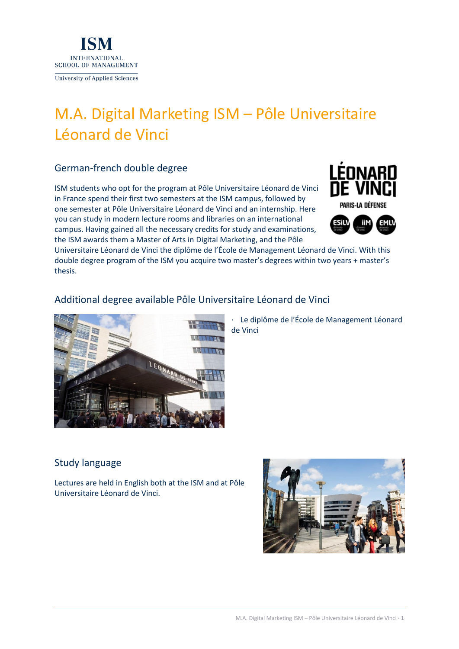

# M.A. Digital Marketing ISM – Pôle Universitaire Léonard de Vinci

## German-french double degree

ISM students who opt for the program at Pôle Universitaire Léonard de Vinci in France spend their first two semesters at the ISM campus, followed by one semester at Pôle Universitaire Léonard de Vinci and an internship. Here you can study in modern lecture rooms and libraries on an international campus. Having gained all the necessary credits for study and examinations, the ISM awards them a Master of Arts in Digital Marketing, and the Pôle





Universitaire Léonard de Vinci the diplôme de l'École de Management Léonard de Vinci. With this double degree program of the ISM you acquire two master's degrees within two years + master's thesis.

## Additional degree available Pôle Universitaire Léonard de Vinci



Le diplôme de l'École de Management Léonard de Vinci

## Study language

Lectures are held in English both at the ISM and at Pôle Universitaire Léonard de Vinci.